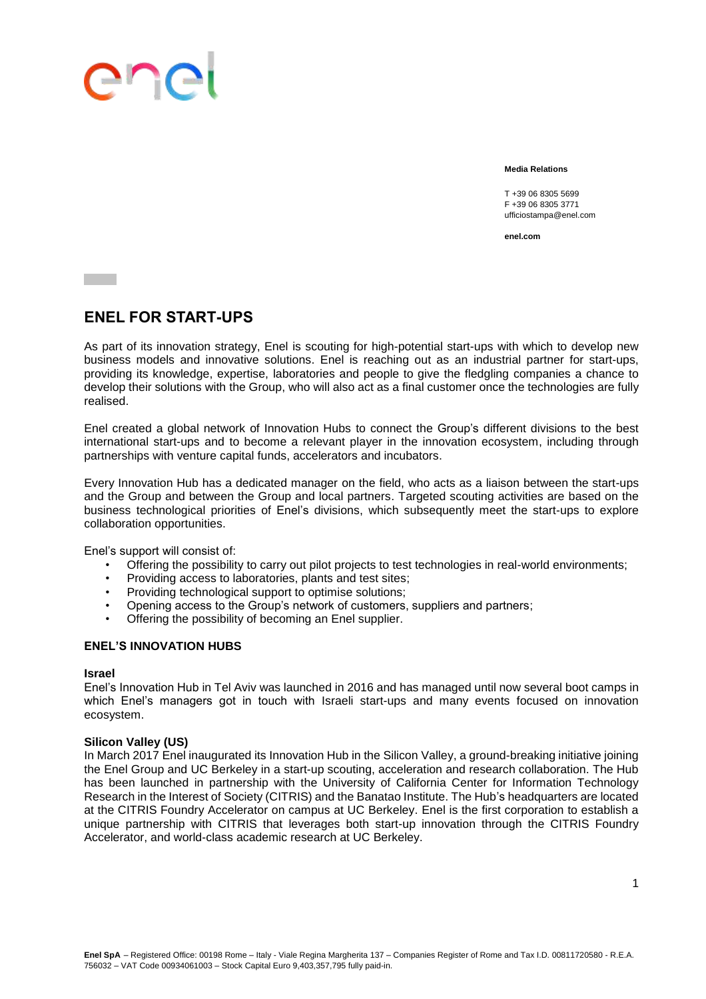## ene

**Media Relations**

T +39 06 8305 5699 F +39 06 8305 3771 ufficiostampa@enel.com

**enel.com**

### **ENEL FOR START-UPS**

As part of its innovation strategy, Enel is scouting for high-potential start-ups with which to develop new business models and innovative solutions. Enel is reaching out as an industrial partner for start-ups, providing its knowledge, expertise, laboratories and people to give the fledgling companies a chance to develop their solutions with the Group, who will also act as a final customer once the technologies are fully realised.

Enel created a global network of Innovation Hubs to connect the Group's different divisions to the best international start-ups and to become a relevant player in the innovation ecosystem, including through partnerships with venture capital funds, accelerators and incubators.

Every Innovation Hub has a dedicated manager on the field, who acts as a liaison between the start-ups and the Group and between the Group and local partners. Targeted scouting activities are based on the business technological priorities of Enel's divisions, which subsequently meet the start-ups to explore collaboration opportunities.

Enel's support will consist of:

- Offering the possibility to carry out pilot projects to test technologies in real-world environments;
- Providing access to laboratories, plants and test sites;
- Providing technological support to optimise solutions;
- Opening access to the Group's network of customers, suppliers and partners;
- Offering the possibility of becoming an Enel supplier.

#### **ENEL'S INNOVATION HUBS**

#### **Israel**

Enel's Innovation Hub in Tel Aviv was launched in 2016 and has managed until now several boot camps in which Enel's managers got in touch with Israeli start-ups and many events focused on innovation ecosystem.

#### **Silicon Valley (US)**

In March 2017 Enel inaugurated its Innovation Hub in the Silicon Valley, a ground-breaking initiative joining the Enel Group and UC Berkeley in a start-up scouting, acceleration and research collaboration. The Hub has been launched in partnership with the University of California Center for Information Technology Research in the Interest of Society (CITRIS) and the Banatao Institute. The Hub's headquarters are located at the CITRIS Foundry Accelerator on campus at UC Berkeley. Enel is the first corporation to establish a unique partnership with CITRIS that leverages both start-up innovation through the CITRIS Foundry Accelerator, and world-class academic research at UC Berkeley.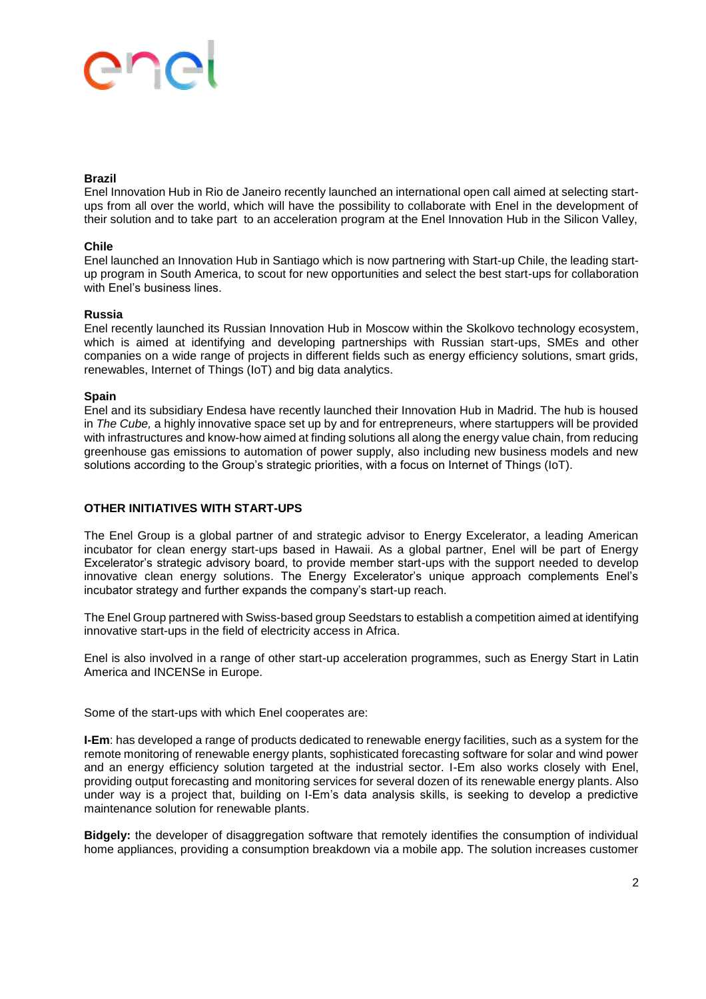# ene

#### **Brazil**

Enel Innovation Hub in Rio de Janeiro recently launched an international open call aimed at selecting startups from all over the world, which will have the possibility to collaborate with Enel in the development of their solution and to take part to an acceleration program at the Enel Innovation Hub in the Silicon Valley,

#### **Chile**

Enel launched an Innovation Hub in Santiago which is now partnering with Start-up Chile, the leading startup program in South America, to scout for new opportunities and select the best start-ups for collaboration with Enel's business lines.

#### **Russia**

Enel recently launched its Russian Innovation Hub in Moscow within the Skolkovo technology ecosystem, which is aimed at identifying and developing partnerships with Russian start-ups, SMEs and other companies on a wide range of projects in different fields such as energy efficiency solutions, smart grids, renewables, Internet of Things (IoT) and big data analytics.

#### **Spain**

Enel and its subsidiary Endesa have recently launched their Innovation Hub in Madrid. The hub is housed in *The Cube,* a highly innovative space set up by and for entrepreneurs, where startuppers will be provided with infrastructures and know-how aimed at finding solutions all along the energy value chain, from reducing greenhouse gas emissions to automation of power supply, also including new business models and new solutions according to the Group's strategic priorities, with a focus on Internet of Things (IoT).

#### **OTHER INITIATIVES WITH START-UPS**

The Enel Group is a global partner of and strategic advisor to Energy Excelerator, a leading American incubator for clean energy start-ups based in Hawaii. As a global partner, Enel will be part of Energy Excelerator's strategic advisory board, to provide member start-ups with the support needed to develop innovative clean energy solutions. The Energy Excelerator's unique approach complements Enel's incubator strategy and further expands the company's start-up reach.

The Enel Group partnered with Swiss-based group Seedstars to establish a competition aimed at identifying innovative start-ups in the field of electricity access in Africa.

Enel is also involved in a range of other start-up acceleration programmes, such as Energy Start in Latin America and INCENSe in Europe.

Some of the start-ups with which Enel cooperates are:

**I-Em**: has developed a range of products dedicated to renewable energy facilities, such as a system for the remote monitoring of renewable energy plants, sophisticated forecasting software for solar and wind power and an energy efficiency solution targeted at the industrial sector. I-Em also works closely with Enel, providing output forecasting and monitoring services for several dozen of its renewable energy plants. Also under way is a project that, building on I-Em's data analysis skills, is seeking to develop a predictive maintenance solution for renewable plants.

**Bidgely:** the developer of disaggregation software that remotely identifies the consumption of individual home appliances, providing a consumption breakdown via a mobile app. The solution increases customer